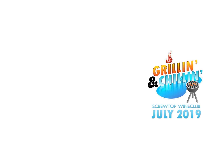